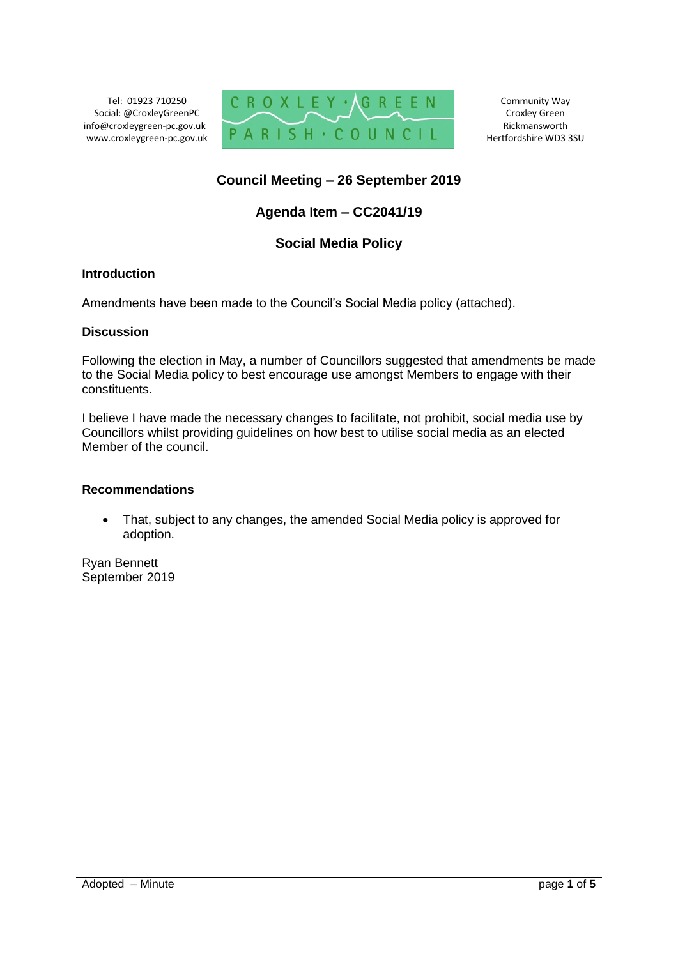Tel: 01923 710250 Social: @CroxleyGreenPC info@croxleygreen-pc.gov.uk www.croxleygreen-pc.gov.uk



Community Way Croxley Green Rickmansworth Hertfordshire WD3 3SU

## **Council Meeting – 26 September 2019**

# **Agenda Item – CC2041/19**

## **Social Media Policy**

## **Introduction**

Amendments have been made to the Council's Social Media policy (attached).

#### **Discussion**

Following the election in May, a number of Councillors suggested that amendments be made to the Social Media policy to best encourage use amongst Members to engage with their constituents.

I believe I have made the necessary changes to facilitate, not prohibit, social media use by Councillors whilst providing guidelines on how best to utilise social media as an elected Member of the council.

#### **Recommendations**

 That, subject to any changes, the amended Social Media policy is approved for adoption.

Ryan Bennett September 2019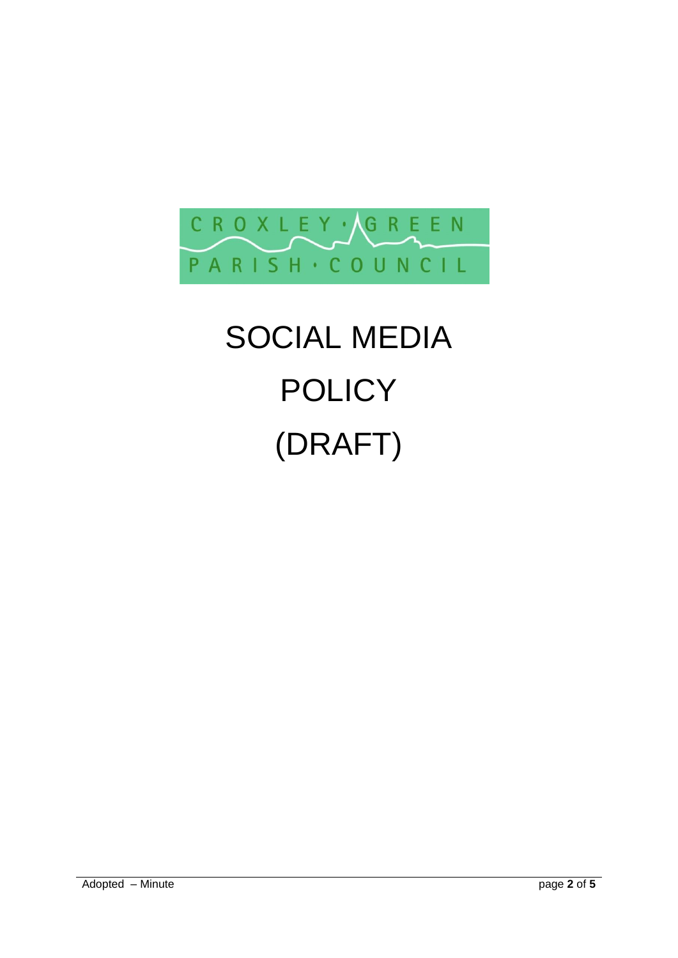

# SOCIAL MEDIA **POLICY** (DRAFT)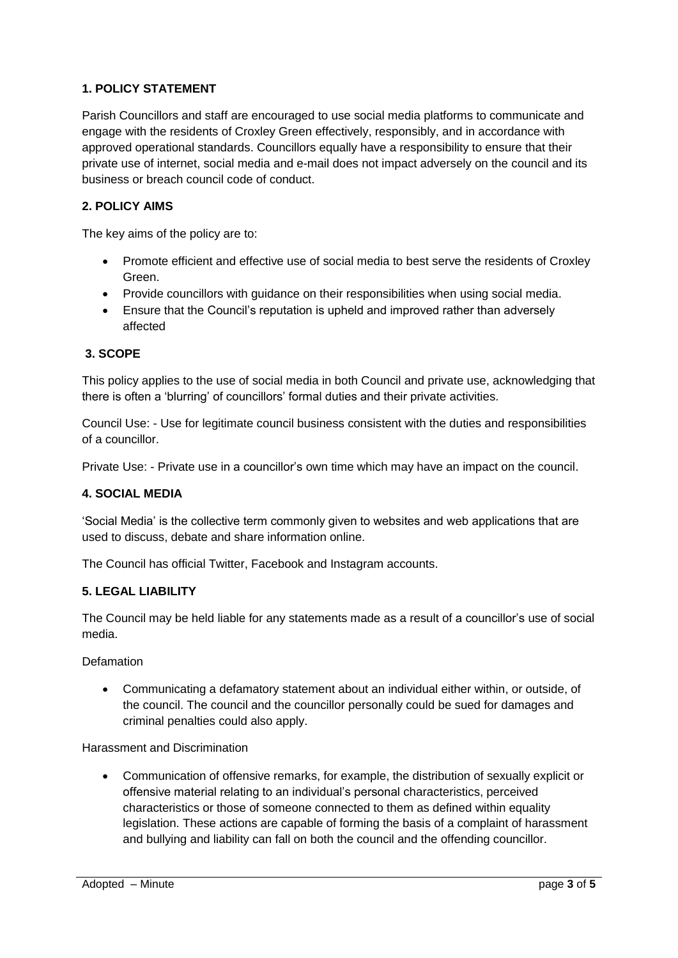## **1. POLICY STATEMENT**

Parish Councillors and staff are encouraged to use social media platforms to communicate and engage with the residents of Croxley Green effectively, responsibly, and in accordance with approved operational standards. Councillors equally have a responsibility to ensure that their private use of internet, social media and e-mail does not impact adversely on the council and its business or breach council code of conduct.

## **2. POLICY AIMS**

The key aims of the policy are to:

- Promote efficient and effective use of social media to best serve the residents of Croxley Green.
- Provide councillors with guidance on their responsibilities when using social media.
- Ensure that the Council's reputation is upheld and improved rather than adversely affected

## **3. SCOPE**

This policy applies to the use of social media in both Council and private use, acknowledging that there is often a 'blurring' of councillors' formal duties and their private activities.

Council Use: - Use for legitimate council business consistent with the duties and responsibilities of a councillor.

Private Use: - Private use in a councillor's own time which may have an impact on the council.

#### **4. SOCIAL MEDIA**

'Social Media' is the collective term commonly given to websites and web applications that are used to discuss, debate and share information online.

The Council has official Twitter, Facebook and Instagram accounts.

#### **5. LEGAL LIABILITY**

The Council may be held liable for any statements made as a result of a councillor's use of social media.

Defamation

 Communicating a defamatory statement about an individual either within, or outside, of the council. The council and the councillor personally could be sued for damages and criminal penalties could also apply.

Harassment and Discrimination

 Communication of offensive remarks, for example, the distribution of sexually explicit or offensive material relating to an individual's personal characteristics, perceived characteristics or those of someone connected to them as defined within equality legislation. These actions are capable of forming the basis of a complaint of harassment and bullying and liability can fall on both the council and the offending councillor.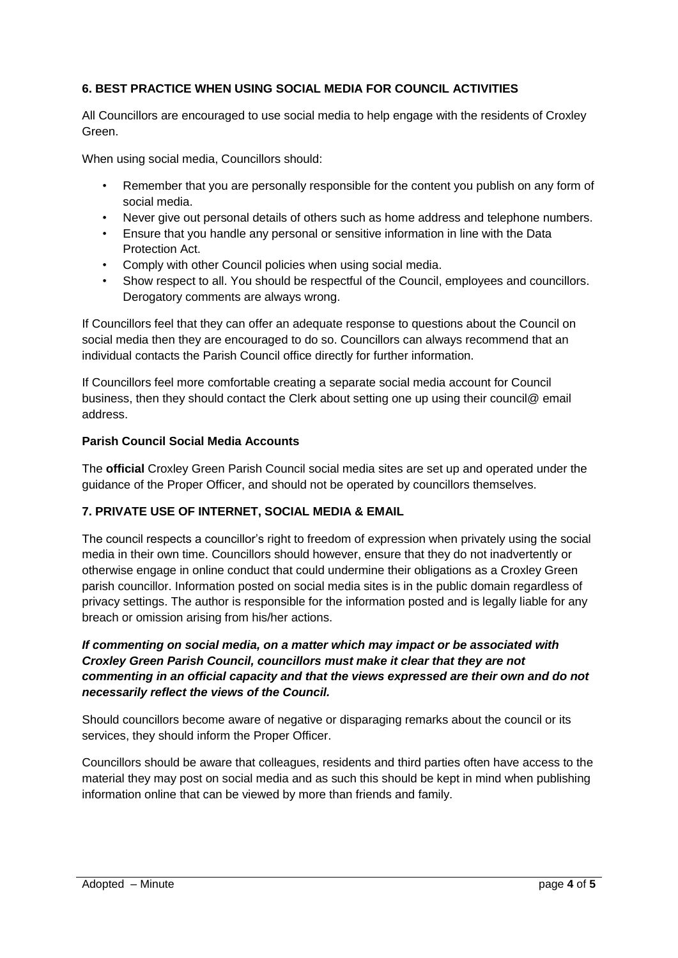## **6. BEST PRACTICE WHEN USING SOCIAL MEDIA FOR COUNCIL ACTIVITIES**

All Councillors are encouraged to use social media to help engage with the residents of Croxley Green.

When using social media, Councillors should:

- Remember that you are personally responsible for the content you publish on any form of social media.
- Never give out personal details of others such as home address and telephone numbers.
- Ensure that you handle any personal or sensitive information in line with the Data Protection Act.
- Comply with other Council policies when using social media.
- Show respect to all. You should be respectful of the Council, employees and councillors. Derogatory comments are always wrong.

If Councillors feel that they can offer an adequate response to questions about the Council on social media then they are encouraged to do so. Councillors can always recommend that an individual contacts the Parish Council office directly for further information.

If Councillors feel more comfortable creating a separate social media account for Council business, then they should contact the Clerk about setting one up using their council@ email address.

## **Parish Council Social Media Accounts**

The **official** Croxley Green Parish Council social media sites are set up and operated under the guidance of the Proper Officer, and should not be operated by councillors themselves.

## **7. PRIVATE USE OF INTERNET, SOCIAL MEDIA & EMAIL**

The council respects a councillor's right to freedom of expression when privately using the social media in their own time. Councillors should however, ensure that they do not inadvertently or otherwise engage in online conduct that could undermine their obligations as a Croxley Green parish councillor. Information posted on social media sites is in the public domain regardless of privacy settings. The author is responsible for the information posted and is legally liable for any breach or omission arising from his/her actions.

## *If commenting on social media, on a matter which may impact or be associated with Croxley Green Parish Council, councillors must make it clear that they are not commenting in an official capacity and that the views expressed are their own and do not necessarily reflect the views of the Council.*

Should councillors become aware of negative or disparaging remarks about the council or its services, they should inform the Proper Officer.

Councillors should be aware that colleagues, residents and third parties often have access to the material they may post on social media and as such this should be kept in mind when publishing information online that can be viewed by more than friends and family.